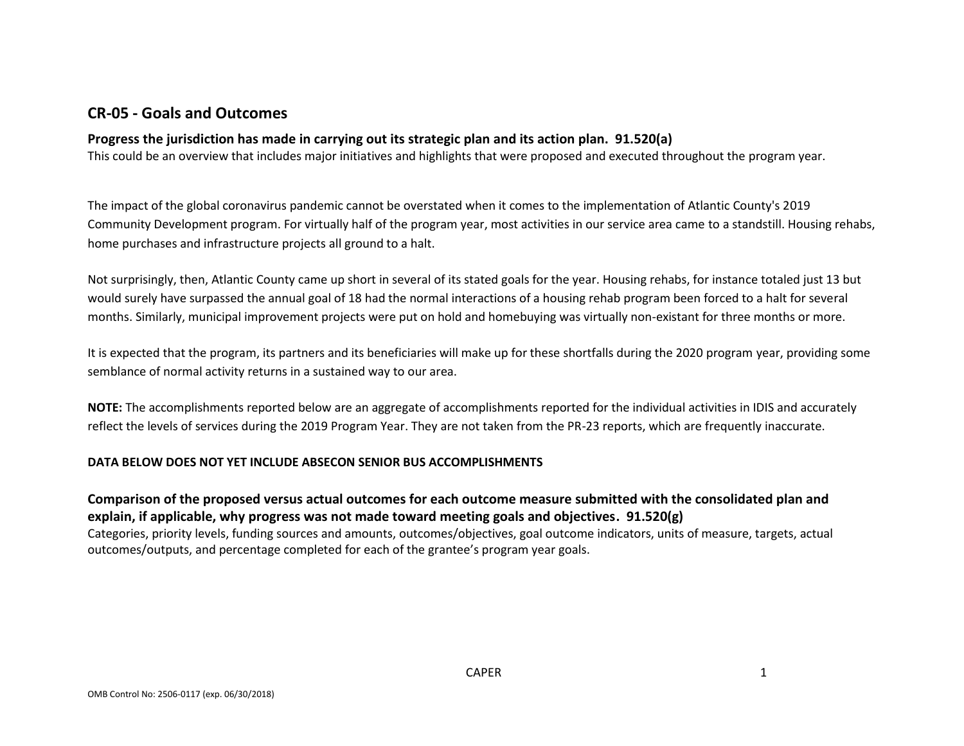# **CR-05 - Goals and Outcomes**

## **Progress the jurisdiction has made in carrying out its strategic plan and its action plan. 91.520(a)**

This could be an overview that includes major initiatives and highlights that were proposed and executed throughout the program year.

The impact of the global coronavirus pandemic cannot be overstated when it comes to the implementation of Atlantic County's 2019 Community Development program. For virtually half of the program year, most activities in our service area came to a standstill. Housing rehabs, home purchases and infrastructure projects all ground to a halt.

Not surprisingly, then, Atlantic County came up short in several of its stated goals for the year. Housing rehabs, for instance totaled just 13 but would surely have surpassed the annual goal of 18 had the normal interactions of a housing rehab program been forced to a halt for several months. Similarly, municipal improvement projects were put on hold and homebuying was virtually non-existant for three months or more.

It is expected that the program, its partners and its beneficiaries will make up for these shortfalls during the 2020 program year, providing some semblance of normal activity returns in a sustained way to our area.

**NOTE:** The accomplishments reported below are an aggregate of accomplishments reported for the individual activities in IDIS and accurately reflect the levels of services during the 2019 Program Year. They are not taken from the PR-23 reports, which are frequently inaccurate.

## **DATA BELOW DOES NOT YET INCLUDE ABSECON SENIOR BUS ACCOMPLISHMENTS**

**Comparison of the proposed versus actual outcomes for each outcome measure submitted with the consolidated plan and explain, if applicable, why progress was not made toward meeting goals and objectives. 91.520(g)** Categories, priority levels, funding sources and amounts, outcomes/objectives, goal outcome indicators, units of measure, targets, actual outcomes/outputs, and percentage completed for each of the grantee's program year goals.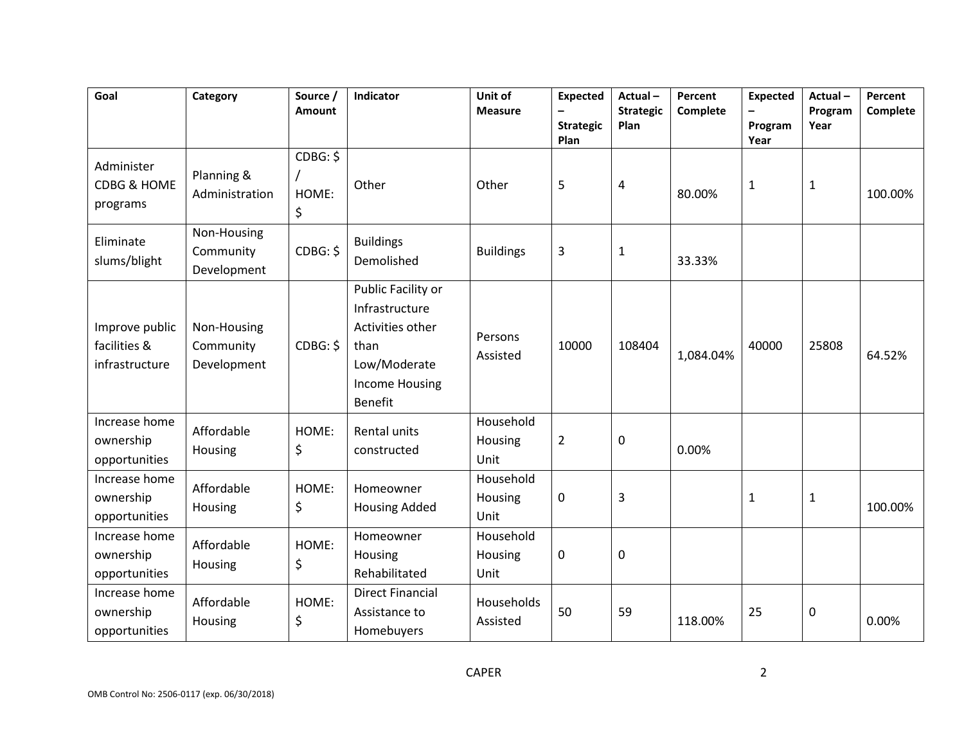| Goal                                             | Category                                | Source /<br>Amount      | Indicator                                                                                                            | Unit of<br><b>Measure</b>    | <b>Expected</b><br><b>Strategic</b><br>Plan | Actual-<br><b>Strategic</b><br>Plan | Percent<br>Complete | <b>Expected</b><br>Program<br>Year | Actual-<br>Program<br>Year | Percent<br>Complete |
|--------------------------------------------------|-----------------------------------------|-------------------------|----------------------------------------------------------------------------------------------------------------------|------------------------------|---------------------------------------------|-------------------------------------|---------------------|------------------------------------|----------------------------|---------------------|
| Administer<br>CDBG & HOME<br>programs            | Planning &<br>Administration            | CDBG: \$<br>HOME:<br>\$ | Other                                                                                                                | Other                        | 5                                           | 4                                   | 80.00%              | $\mathbf{1}$                       | $\mathbf{1}$               | 100.00%             |
| Eliminate<br>slums/blight                        | Non-Housing<br>Community<br>Development | CDBG: \$                | <b>Buildings</b><br>Demolished                                                                                       | <b>Buildings</b>             | 3                                           | $\mathbf{1}$                        | 33.33%              |                                    |                            |                     |
| Improve public<br>facilities &<br>infrastructure | Non-Housing<br>Community<br>Development | CDBG: \$                | Public Facility or<br>Infrastructure<br>Activities other<br>than<br>Low/Moderate<br><b>Income Housing</b><br>Benefit | Persons<br>Assisted          | 10000                                       | 108404                              | 1,084.04%           | 40000                              | 25808                      | 64.52%              |
| Increase home<br>ownership<br>opportunities      | Affordable<br>Housing                   | HOME:<br>\$             | Rental units<br>constructed                                                                                          | Household<br>Housing<br>Unit | $\overline{2}$                              | 0                                   | 0.00%               |                                    |                            |                     |
| Increase home<br>ownership<br>opportunities      | Affordable<br>Housing                   | HOME:<br>\$             | Homeowner<br><b>Housing Added</b>                                                                                    | Household<br>Housing<br>Unit | 0                                           | 3                                   |                     | 1                                  | $\mathbf{1}$               | 100.00%             |
| Increase home<br>ownership<br>opportunities      | Affordable<br>Housing                   | HOME:<br>\$             | Homeowner<br>Housing<br>Rehabilitated                                                                                | Household<br>Housing<br>Unit | 0                                           | 0                                   |                     |                                    |                            |                     |
| Increase home<br>ownership<br>opportunities      | Affordable<br>Housing                   | HOME:<br>\$             | <b>Direct Financial</b><br>Assistance to<br>Homebuyers                                                               | Households<br>Assisted       | 50                                          | 59                                  | 118.00%             | 25                                 | 0                          | 0.00%               |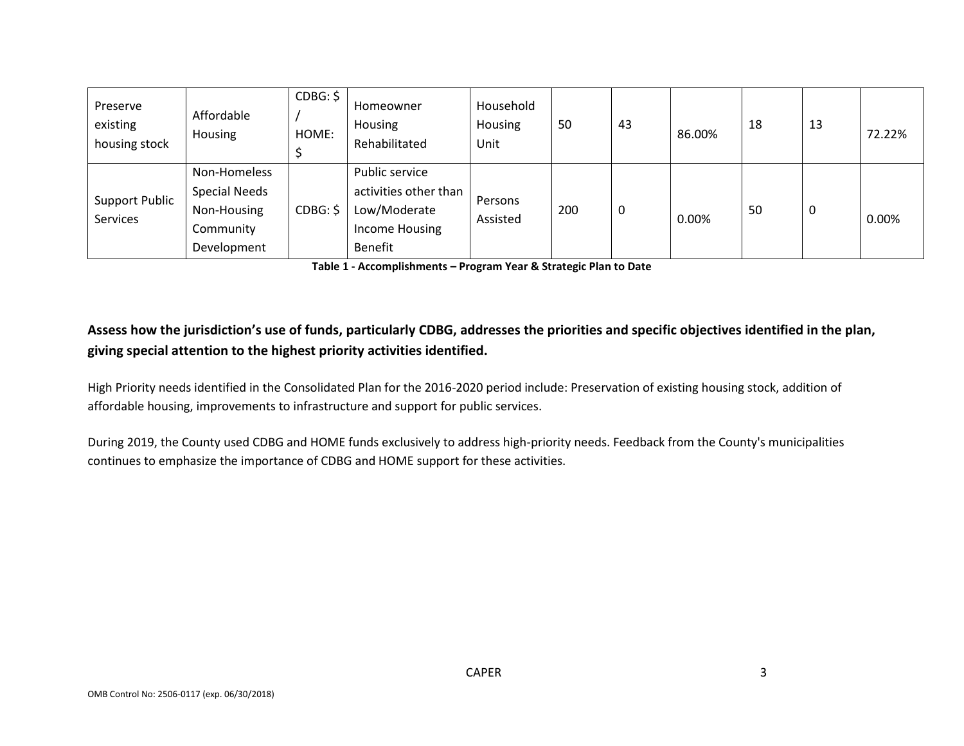| Preserve<br>existing<br>housing stock | Affordable<br>Housing                                                           | CDBG: \$<br>HOME: | Homeowner<br>Housing<br>Rehabilitated                                                | Household<br>Housing<br>Unit | 50  | 43 | 86.00% | 18 | 13 | 72.22% |
|---------------------------------------|---------------------------------------------------------------------------------|-------------------|--------------------------------------------------------------------------------------|------------------------------|-----|----|--------|----|----|--------|
| <b>Support Public</b><br>Services     | Non-Homeless<br><b>Special Needs</b><br>Non-Housing<br>Community<br>Development | CDBG: \$          | Public service<br>activities other than<br>Low/Moderate<br>Income Housing<br>Benefit | Persons<br>Assisted          | 200 |    | 0.00%  | 50 | 0  | 0.00%  |

**Table 1 - Accomplishments – Program Year & Strategic Plan to Date**

# **Assess how the jurisdiction's use of funds, particularly CDBG, addresses the priorities and specific objectives identified in the plan, giving special attention to the highest priority activities identified.**

High Priority needs identified in the Consolidated Plan for the 2016-2020 period include: Preservation of existing housing stock, addition of affordable housing, improvements to infrastructure and support for public services.

During 2019, the County used CDBG and HOME funds exclusively to address high-priority needs. Feedback from the County's municipalities continues to emphasize the importance of CDBG and HOME support for these activities.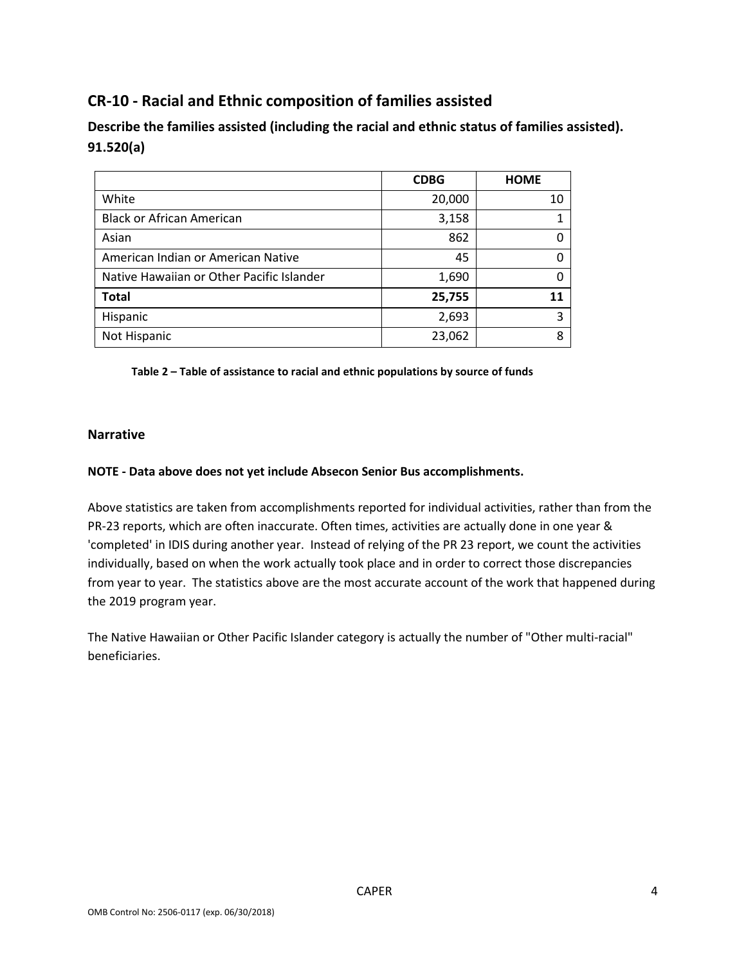# **CR-10 - Racial and Ethnic composition of families assisted**

**Describe the families assisted (including the racial and ethnic status of families assisted). 91.520(a)** 

|                                           | <b>CDBG</b> | <b>HOME</b> |
|-------------------------------------------|-------------|-------------|
| White                                     | 20,000      | 10          |
| <b>Black or African American</b>          | 3,158       |             |
| Asian                                     | 862         |             |
| American Indian or American Native        | 45          |             |
| Native Hawaiian or Other Pacific Islander | 1,690       |             |
| <b>Total</b>                              | 25,755      | 11          |
| Hispanic                                  | 2,693       | 3           |
| Not Hispanic                              | 23,062      | 8           |

**Table 2 – Table of assistance to racial and ethnic populations by source of funds**

## **Narrative**

### **NOTE - Data above does not yet include Absecon Senior Bus accomplishments.**

Above statistics are taken from accomplishments reported for individual activities, rather than from the PR-23 reports, which are often inaccurate. Often times, activities are actually done in one year & 'completed' in IDIS during another year. Instead of relying of the PR 23 report, we count the activities individually, based on when the work actually took place and in order to correct those discrepancies from year to year. The statistics above are the most accurate account of the work that happened during the 2019 program year.

The Native Hawaiian or Other Pacific Islander category is actually the number of "Other multi-racial" beneficiaries.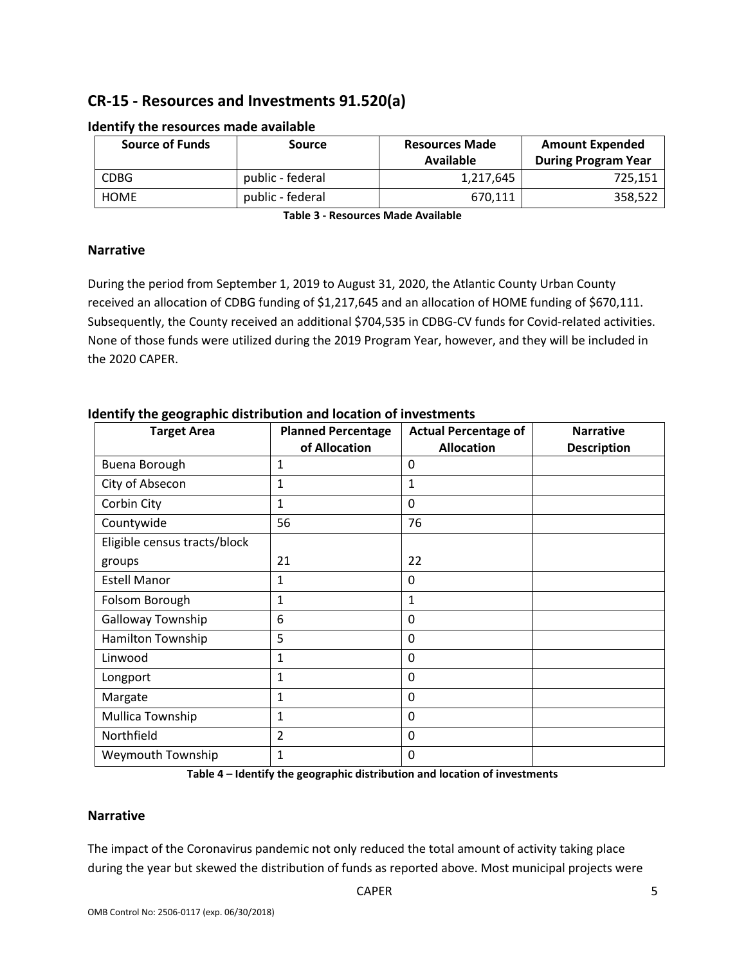# **CR-15 - Resources and Investments 91.520(a)**

| <b>Source of Funds</b> | <b>Source</b>    | <b>Resources Made</b><br>Available | <b>Amount Expended</b><br><b>During Program Year</b> |
|------------------------|------------------|------------------------------------|------------------------------------------------------|
| <b>CDBG</b>            | public - federal | 1,217,645                          | 725,151                                              |
| <b>HOME</b>            | public - federal | 670.111                            | 358,522                                              |

### **Identify the resources made available**

**Table 3 - Resources Made Available**

## **Narrative**

During the period from September 1, 2019 to August 31, 2020, the Atlantic County Urban County received an allocation of CDBG funding of \$1,217,645 and an allocation of HOME funding of \$670,111. Subsequently, the County received an additional \$704,535 in CDBG-CV funds for Covid-related activities. None of those funds were utilized during the 2019 Program Year, however, and they will be included in the 2020 CAPER.

| <b>Target Area</b>           | <b>Planned Percentage</b> | <b>Actual Percentage of</b> | <b>Narrative</b>   |
|------------------------------|---------------------------|-----------------------------|--------------------|
|                              | of Allocation             | <b>Allocation</b>           | <b>Description</b> |
| Buena Borough                | $\mathbf 1$               | $\Omega$                    |                    |
| City of Absecon              | $\mathbf 1$               | 1                           |                    |
| Corbin City                  | $\mathbf 1$               | $\Omega$                    |                    |
| Countywide                   | 56                        | 76                          |                    |
| Eligible census tracts/block |                           |                             |                    |
| groups                       | 21                        | 22                          |                    |
| <b>Estell Manor</b>          | $\mathbf{1}$              | 0                           |                    |
| Folsom Borough               | 1                         | $\mathbf{1}$                |                    |
| Galloway Township            | 6                         | $\mathbf 0$                 |                    |
| Hamilton Township            | 5                         | 0                           |                    |
| Linwood                      | $\mathbf 1$               | $\mathbf 0$                 |                    |
| Longport                     | $\mathbf 1$               | $\Omega$                    |                    |
| Margate                      | $\mathbf{1}$              | $\mathbf 0$                 |                    |
| Mullica Township             | $\mathbf{1}$              | $\Omega$                    |                    |
| Northfield                   | $\overline{2}$            | $\Omega$                    |                    |
| Weymouth Township            | 1                         | 0                           |                    |

## **Identify the geographic distribution and location of investments**

**Table 4 – Identify the geographic distribution and location of investments**

### **Narrative**

The impact of the Coronavirus pandemic not only reduced the total amount of activity taking place during the year but skewed the distribution of funds as reported above. Most municipal projects were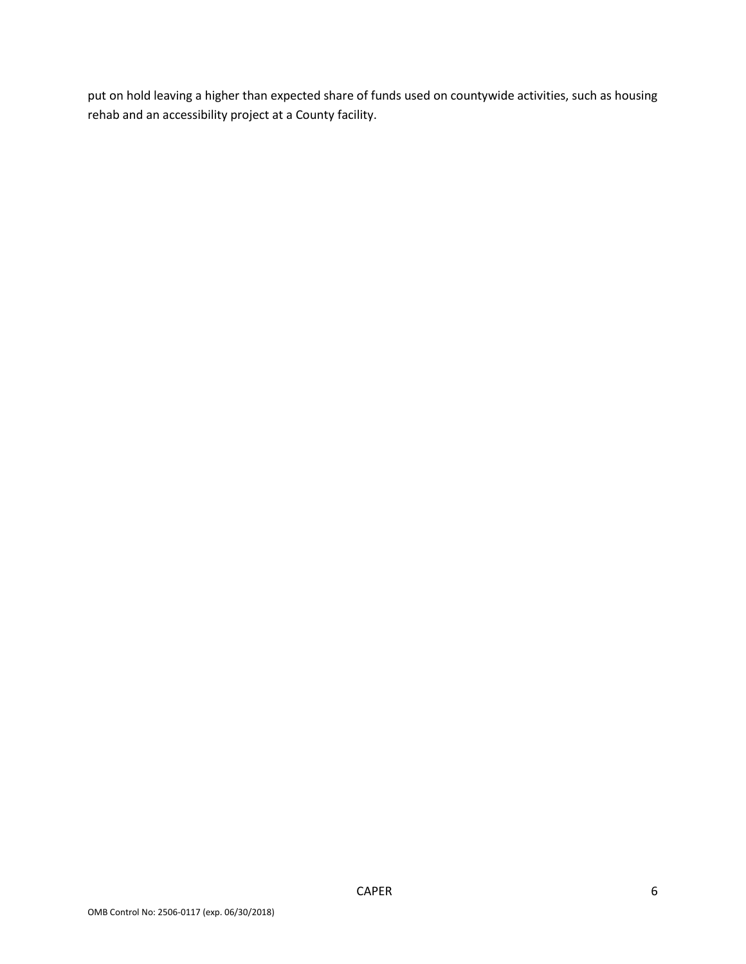put on hold leaving a higher than expected share of funds used on countywide activities, such as housing rehab and an accessibility project at a County facility.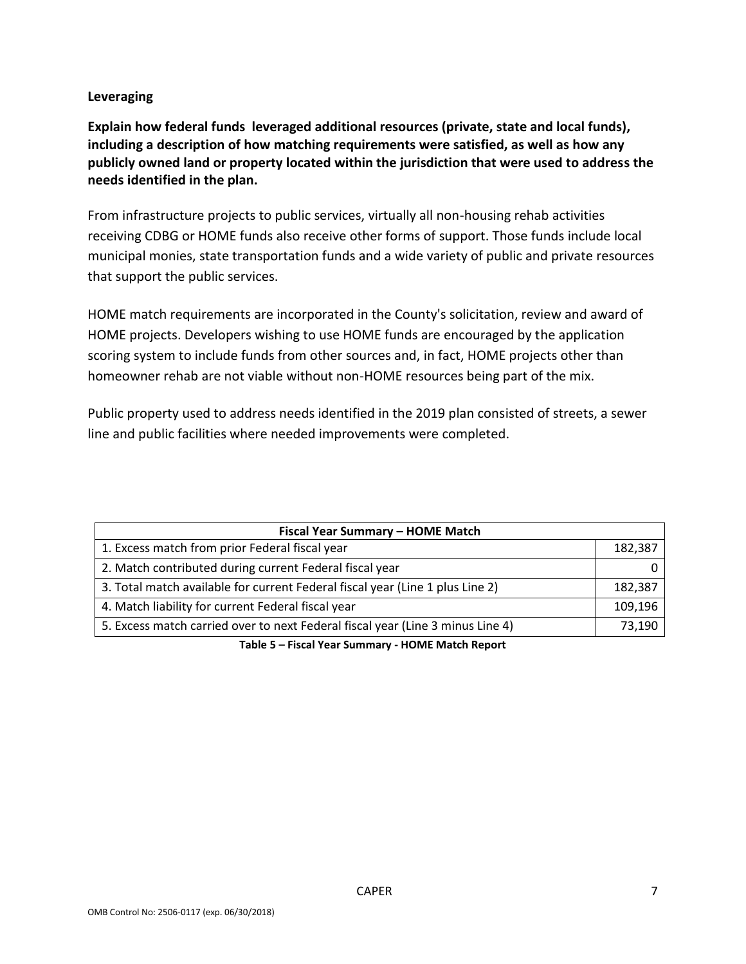## **Leveraging**

**Explain how federal funds leveraged additional resources (private, state and local funds), including a description of how matching requirements were satisfied, as well as how any publicly owned land or property located within the jurisdiction that were used to address the needs identified in the plan.**

From infrastructure projects to public services, virtually all non-housing rehab activities receiving CDBG or HOME funds also receive other forms of support. Those funds include local municipal monies, state transportation funds and a wide variety of public and private resources that support the public services.

HOME match requirements are incorporated in the County's solicitation, review and award of HOME projects. Developers wishing to use HOME funds are encouraged by the application scoring system to include funds from other sources and, in fact, HOME projects other than homeowner rehab are not viable without non-HOME resources being part of the mix.

Public property used to address needs identified in the 2019 plan consisted of streets, a sewer line and public facilities where needed improvements were completed.

| Fiscal Year Summary - HOME Match                                               |         |  |  |  |  |  |
|--------------------------------------------------------------------------------|---------|--|--|--|--|--|
| 1. Excess match from prior Federal fiscal year                                 | 182,387 |  |  |  |  |  |
| 2. Match contributed during current Federal fiscal year                        |         |  |  |  |  |  |
| 3. Total match available for current Federal fiscal year (Line 1 plus Line 2)  | 182.387 |  |  |  |  |  |
| 4. Match liability for current Federal fiscal year                             | 109,196 |  |  |  |  |  |
| 5. Excess match carried over to next Federal fiscal year (Line 3 minus Line 4) | 73,190  |  |  |  |  |  |

**Table 5 – Fiscal Year Summary - HOME Match Report**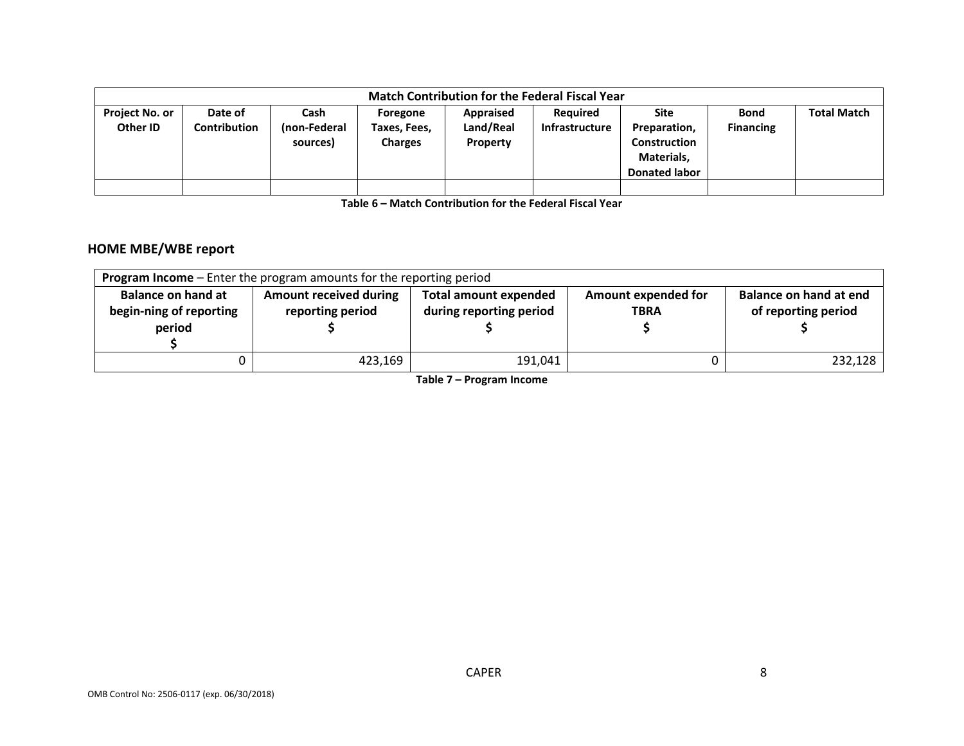|                                   | <b>Match Contribution for the Federal Fiscal Year</b> |                                  |                                            |                                    |                                          |                                                                            |                                 |                    |  |  |  |
|-----------------------------------|-------------------------------------------------------|----------------------------------|--------------------------------------------|------------------------------------|------------------------------------------|----------------------------------------------------------------------------|---------------------------------|--------------------|--|--|--|
| <b>Project No. or</b><br>Other ID | Date of<br>Contribution                               | Cash<br>(non-Federal<br>sources) | Foregone<br>Taxes, Fees,<br><b>Charges</b> | Appraised<br>Land/Real<br>Property | <b>Required</b><br><b>Infrastructure</b> | Site<br>Preparation,<br>Construction<br>Materials,<br><b>Donated labor</b> | <b>Bond</b><br><b>Financing</b> | <b>Total Match</b> |  |  |  |
|                                   |                                                       |                                  |                                            |                                    |                                          |                                                                            |                                 |                    |  |  |  |

**Table 6 – Match Contribution for the Federal Fiscal Year**

## **HOME MBE/WBE report**

| <b>Program Income</b> – Enter the program amounts for the reporting period |                                                   |                                                         |                                    |                                               |  |  |  |  |  |
|----------------------------------------------------------------------------|---------------------------------------------------|---------------------------------------------------------|------------------------------------|-----------------------------------------------|--|--|--|--|--|
| <b>Balance on hand at</b><br>begin-ning of reporting                       | <b>Amount received during</b><br>reporting period | <b>Total amount expended</b><br>during reporting period | Amount expended for<br><b>TBRA</b> | Balance on hand at end<br>of reporting period |  |  |  |  |  |
| period                                                                     |                                                   |                                                         |                                    |                                               |  |  |  |  |  |
|                                                                            | 423,169                                           | 191,041                                                 |                                    | 232.128                                       |  |  |  |  |  |

**Table 7 – Program Income**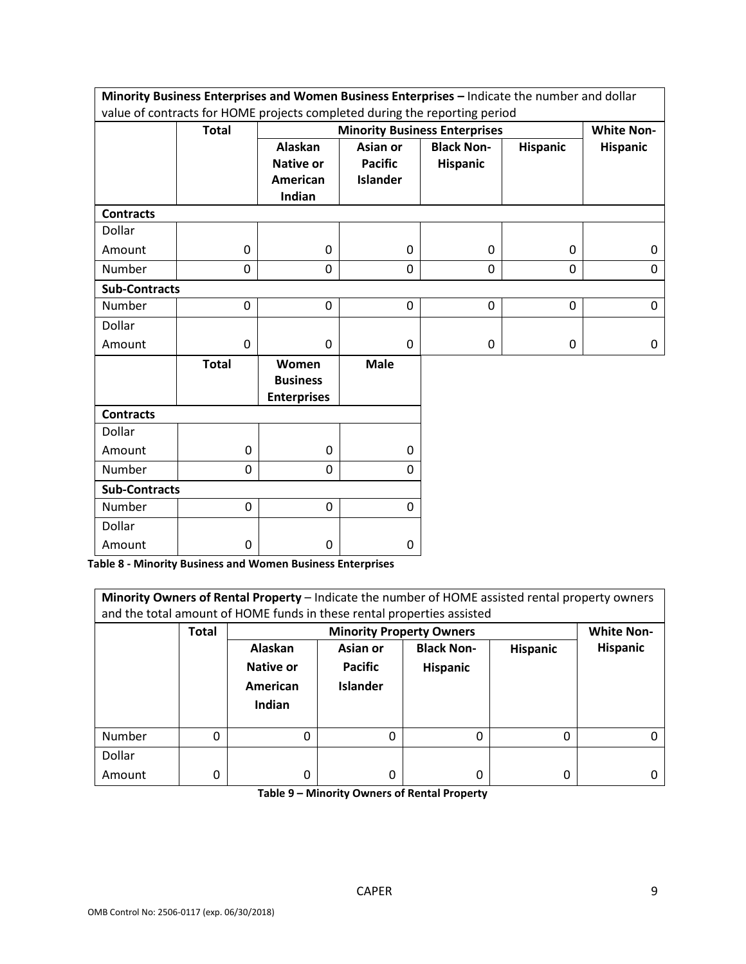| Minority Business Enterprises and Women Business Enterprises - Indicate the number and dollar |              |                                                |                 |                                      |                 |                   |  |  |  |
|-----------------------------------------------------------------------------------------------|--------------|------------------------------------------------|-----------------|--------------------------------------|-----------------|-------------------|--|--|--|
| value of contracts for HOME projects completed during the reporting period                    |              |                                                |                 |                                      |                 |                   |  |  |  |
|                                                                                               | <b>Total</b> |                                                |                 | <b>Minority Business Enterprises</b> |                 | <b>White Non-</b> |  |  |  |
|                                                                                               |              | Alaskan                                        | Asian or        | <b>Black Non-</b>                    | <b>Hispanic</b> | <b>Hispanic</b>   |  |  |  |
|                                                                                               |              | <b>Native or</b>                               | <b>Pacific</b>  | Hispanic                             |                 |                   |  |  |  |
|                                                                                               |              | American                                       | <b>Islander</b> |                                      |                 |                   |  |  |  |
|                                                                                               |              | Indian                                         |                 |                                      |                 |                   |  |  |  |
| <b>Contracts</b>                                                                              |              |                                                |                 |                                      |                 |                   |  |  |  |
| Dollar                                                                                        |              |                                                |                 |                                      |                 |                   |  |  |  |
| Amount                                                                                        | 0            | 0                                              | $\mathbf 0$     | 0                                    | $\mathbf 0$     | 0                 |  |  |  |
| <b>Number</b>                                                                                 | 0            | $\mathbf 0$                                    | $\Omega$        | 0                                    | $\mathbf 0$     | $\Omega$          |  |  |  |
| <b>Sub-Contracts</b>                                                                          |              |                                                |                 |                                      |                 |                   |  |  |  |
| <b>Number</b>                                                                                 | 0            | $\mathbf 0$                                    | $\mathbf 0$     | 0                                    | $\mathbf 0$     | $\mathbf 0$       |  |  |  |
| Dollar                                                                                        |              |                                                |                 |                                      |                 |                   |  |  |  |
| Amount                                                                                        | $\mathbf 0$  | $\mathbf 0$                                    | $\Omega$        | 0                                    | 0               | 0                 |  |  |  |
|                                                                                               | <b>Total</b> | Women<br><b>Business</b><br><b>Enterprises</b> | <b>Male</b>     |                                      |                 |                   |  |  |  |
| <b>Contracts</b>                                                                              |              |                                                |                 |                                      |                 |                   |  |  |  |
| Dollar                                                                                        |              |                                                |                 |                                      |                 |                   |  |  |  |
| Amount                                                                                        | $\mathbf 0$  | 0                                              | 0               |                                      |                 |                   |  |  |  |
| Number                                                                                        | 0            | 0                                              | $\Omega$        |                                      |                 |                   |  |  |  |
| <b>Sub-Contracts</b>                                                                          |              |                                                |                 |                                      |                 |                   |  |  |  |
| <b>Number</b>                                                                                 | $\mathbf 0$  | 0                                              | $\mathbf 0$     |                                      |                 |                   |  |  |  |
| Dollar                                                                                        |              |                                                |                 |                                      |                 |                   |  |  |  |
| Amount                                                                                        | 0            | 0                                              | $\Omega$        |                                      |                 |                   |  |  |  |

**Table 8 - Minority Business and Women Business Enterprises**

| Minority Owners of Rental Property - Indicate the number of HOME assisted rental property owners<br>and the total amount of HOME funds in these rental properties assisted |              |           |                                 |                   |          |                   |  |  |  |
|----------------------------------------------------------------------------------------------------------------------------------------------------------------------------|--------------|-----------|---------------------------------|-------------------|----------|-------------------|--|--|--|
|                                                                                                                                                                            | <b>Total</b> |           | <b>Minority Property Owners</b> |                   |          | <b>White Non-</b> |  |  |  |
|                                                                                                                                                                            |              | Alaskan   | Asian or                        | <b>Black Non-</b> | Hispanic | <b>Hispanic</b>   |  |  |  |
|                                                                                                                                                                            |              | Native or | <b>Pacific</b>                  | <b>Hispanic</b>   |          |                   |  |  |  |
|                                                                                                                                                                            |              | American  | <b>Islander</b>                 |                   |          |                   |  |  |  |
|                                                                                                                                                                            |              | Indian    |                                 |                   |          |                   |  |  |  |
|                                                                                                                                                                            |              |           |                                 |                   |          |                   |  |  |  |
| Number                                                                                                                                                                     | 0            | 0         | 0                               | 0                 | 0        |                   |  |  |  |
| Dollar                                                                                                                                                                     |              |           |                                 |                   |          |                   |  |  |  |
| Amount                                                                                                                                                                     | 0            | 0         | 0                               | 0                 | 0        |                   |  |  |  |

**Table 9 – Minority Owners of Rental Property**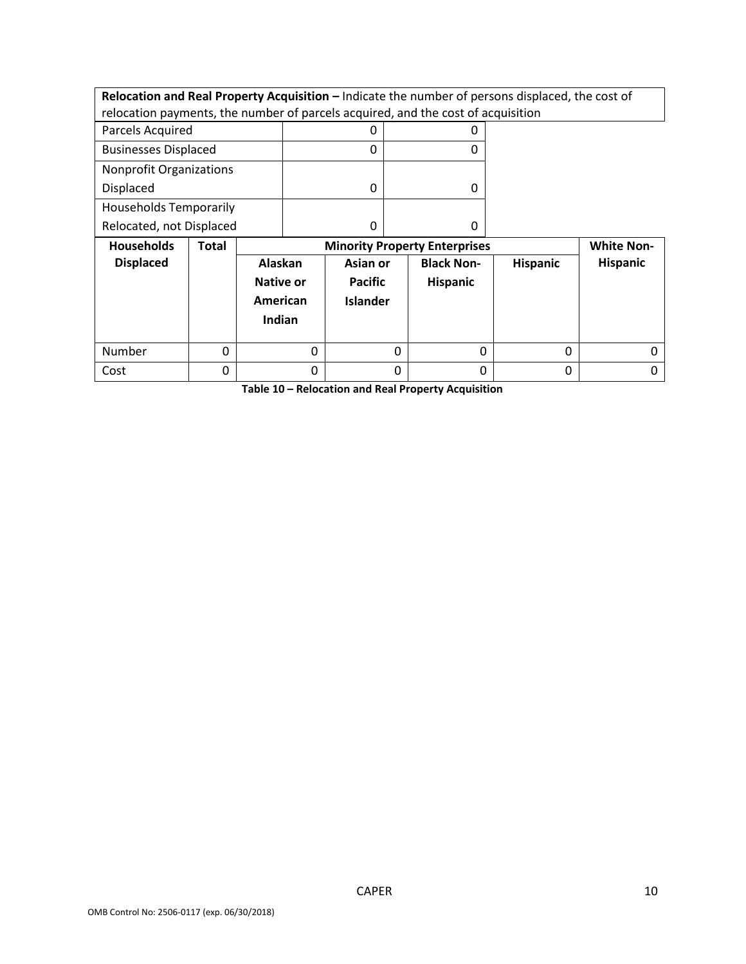**Relocation and Real Property Acquisition – Indicate the number of persons displaced, the cost of** relocation payments, the number of parcels acquired, and the cost of acquisition

| Parcels Acquired               |  |
|--------------------------------|--|
| <b>Businesses Displaced</b>    |  |
| <b>Nonprofit Organizations</b> |  |
| <b>Displaced</b>               |  |
| <b>Households Temporarily</b>  |  |
| Relocated, not Displaced       |  |

| <b>Households</b> | <b>Total</b> |                                                   | <b>Minority Property Enterprises</b>          |                               |                 |                 |  |  |
|-------------------|--------------|---------------------------------------------------|-----------------------------------------------|-------------------------------|-----------------|-----------------|--|--|
| <b>Displaced</b>  |              | Alaskan<br><b>Native or</b><br>American<br>Indian | Asian or<br><b>Pacific</b><br><b>Islander</b> | <b>Black Non-</b><br>Hispanic | <b>Hispanic</b> | <b>Hispanic</b> |  |  |
| Number            | 0            |                                                   | 0                                             |                               | 0               |                 |  |  |
| Cost              |              |                                                   | 0                                             |                               | 0               |                 |  |  |

**Table 10 – Relocation and Real Property Acquisition**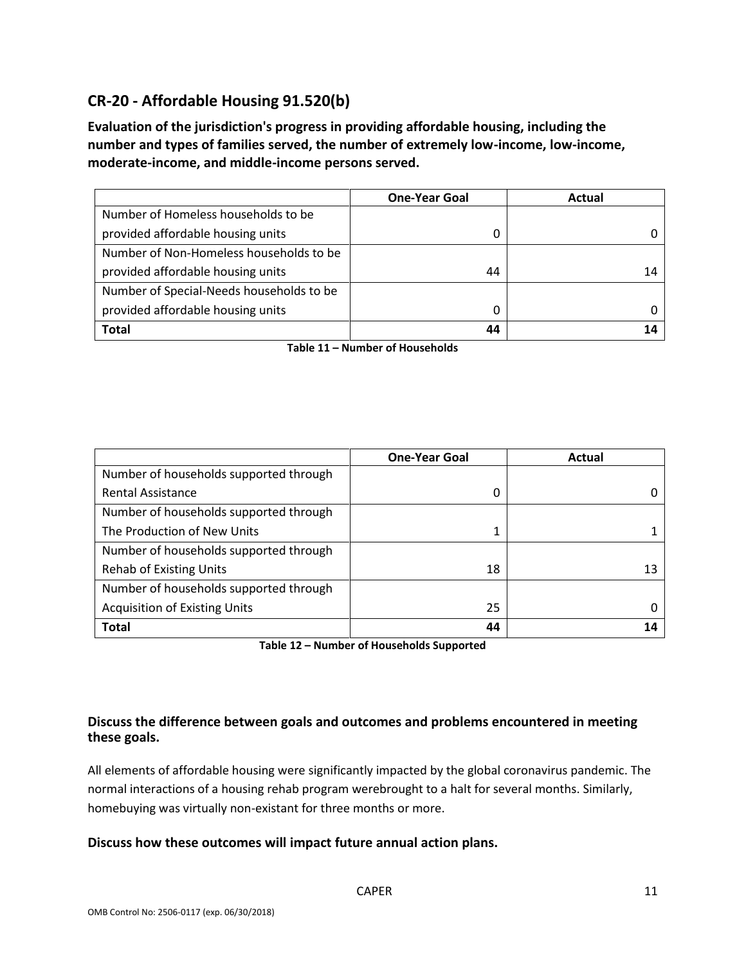# **CR-20 - Affordable Housing 91.520(b)**

**Evaluation of the jurisdiction's progress in providing affordable housing, including the number and types of families served, the number of extremely low-income, low-income, moderate-income, and middle-income persons served.**

|                                          | <b>One-Year Goal</b> | Actual |
|------------------------------------------|----------------------|--------|
| Number of Homeless households to be      |                      |        |
| provided affordable housing units        | 0                    |        |
| Number of Non-Homeless households to be  |                      |        |
| provided affordable housing units        | 44                   | 14     |
| Number of Special-Needs households to be |                      |        |
| provided affordable housing units        | 0                    |        |
| <b>Total</b>                             | 44                   |        |

**Table 11 – Number of Households**

|                                        | <b>One-Year Goal</b> | Actual |
|----------------------------------------|----------------------|--------|
| Number of households supported through |                      |        |
| <b>Rental Assistance</b>               | 0                    |        |
| Number of households supported through |                      |        |
| The Production of New Units            |                      |        |
| Number of households supported through |                      |        |
| <b>Rehab of Existing Units</b>         | 18                   | 13     |
| Number of households supported through |                      |        |
| <b>Acquisition of Existing Units</b>   | 25                   |        |
| <b>Total</b>                           | 44                   |        |

**Table 12 – Number of Households Supported**

## **Discuss the difference between goals and outcomes and problems encountered in meeting these goals.**

All elements of affordable housing were significantly impacted by the global coronavirus pandemic. The normal interactions of a housing rehab program werebrought to a halt for several months. Similarly, homebuying was virtually non-existant for three months or more.

## **Discuss how these outcomes will impact future annual action plans.**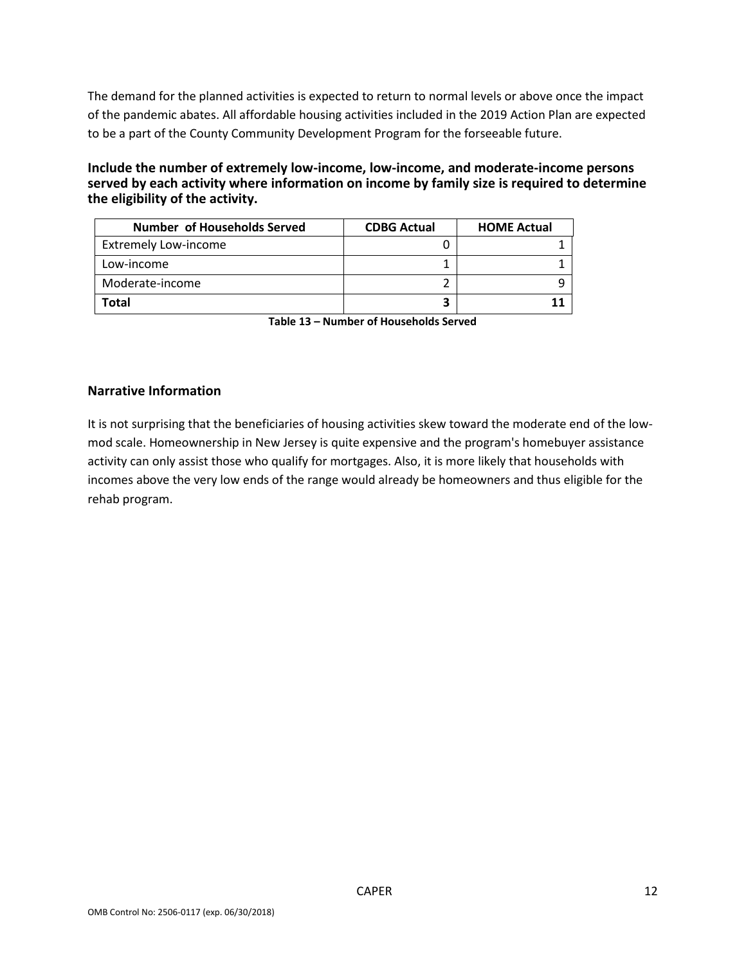The demand for the planned activities is expected to return to normal levels or above once the impact of the pandemic abates. All affordable housing activities included in the 2019 Action Plan are expected to be a part of the County Community Development Program for the forseeable future.

**Include the number of extremely low-income, low-income, and moderate-income persons served by each activity where information on income by family size is required to determine the eligibility of the activity.**

| <b>Number of Households Served</b> | <b>CDBG Actual</b> | <b>HOME Actual</b> |
|------------------------------------|--------------------|--------------------|
| <b>Extremely Low-income</b>        |                    |                    |
| Low-income                         |                    |                    |
| Moderate-income                    |                    |                    |
| Total                              |                    |                    |

**Table 13 – Number of Households Served**

## **Narrative Information**

It is not surprising that the beneficiaries of housing activities skew toward the moderate end of the lowmod scale. Homeownership in New Jersey is quite expensive and the program's homebuyer assistance activity can only assist those who qualify for mortgages. Also, it is more likely that households with incomes above the very low ends of the range would already be homeowners and thus eligible for the rehab program.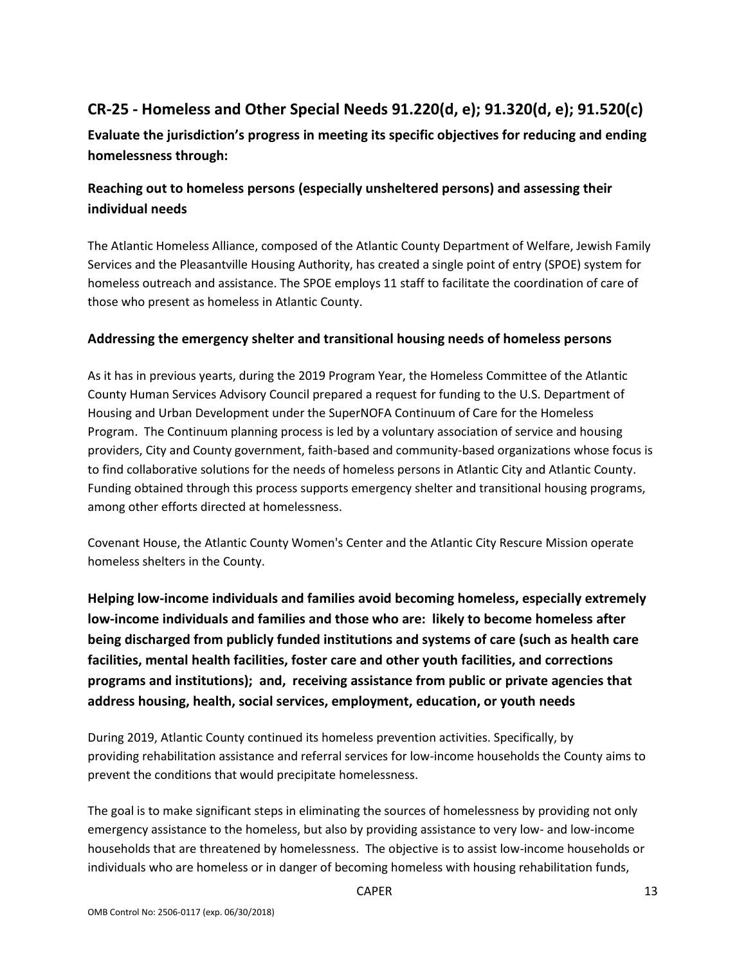# **CR-25 - Homeless and Other Special Needs 91.220(d, e); 91.320(d, e); 91.520(c)**

**Evaluate the jurisdiction's progress in meeting its specific objectives for reducing and ending homelessness through:**

# **Reaching out to homeless persons (especially unsheltered persons) and assessing their individual needs**

The Atlantic Homeless Alliance, composed of the Atlantic County Department of Welfare, Jewish Family Services and the Pleasantville Housing Authority, has created a single point of entry (SPOE) system for homeless outreach and assistance. The SPOE employs 11 staff to facilitate the coordination of care of those who present as homeless in Atlantic County.

## **Addressing the emergency shelter and transitional housing needs of homeless persons**

As it has in previous yearts, during the 2019 Program Year, the Homeless Committee of the Atlantic County Human Services Advisory Council prepared a request for funding to the U.S. Department of Housing and Urban Development under the SuperNOFA Continuum of Care for the Homeless Program. The Continuum planning process is led by a voluntary association of service and housing providers, City and County government, faith-based and community-based organizations whose focus is to find collaborative solutions for the needs of homeless persons in Atlantic City and Atlantic County. Funding obtained through this process supports emergency shelter and transitional housing programs, among other efforts directed at homelessness.

Covenant House, the Atlantic County Women's Center and the Atlantic City Rescure Mission operate homeless shelters in the County.

**Helping low-income individuals and families avoid becoming homeless, especially extremely low-income individuals and families and those who are: likely to become homeless after being discharged from publicly funded institutions and systems of care (such as health care facilities, mental health facilities, foster care and other youth facilities, and corrections programs and institutions); and, receiving assistance from public or private agencies that address housing, health, social services, employment, education, or youth needs**

During 2019, Atlantic County continued its homeless prevention activities. Specifically, by providing rehabilitation assistance and referral services for low-income households the County aims to prevent the conditions that would precipitate homelessness.

The goal is to make significant steps in eliminating the sources of homelessness by providing not only emergency assistance to the homeless, but also by providing assistance to very low- and low-income households that are threatened by homelessness. The objective is to assist low-income households or individuals who are homeless or in danger of becoming homeless with housing rehabilitation funds,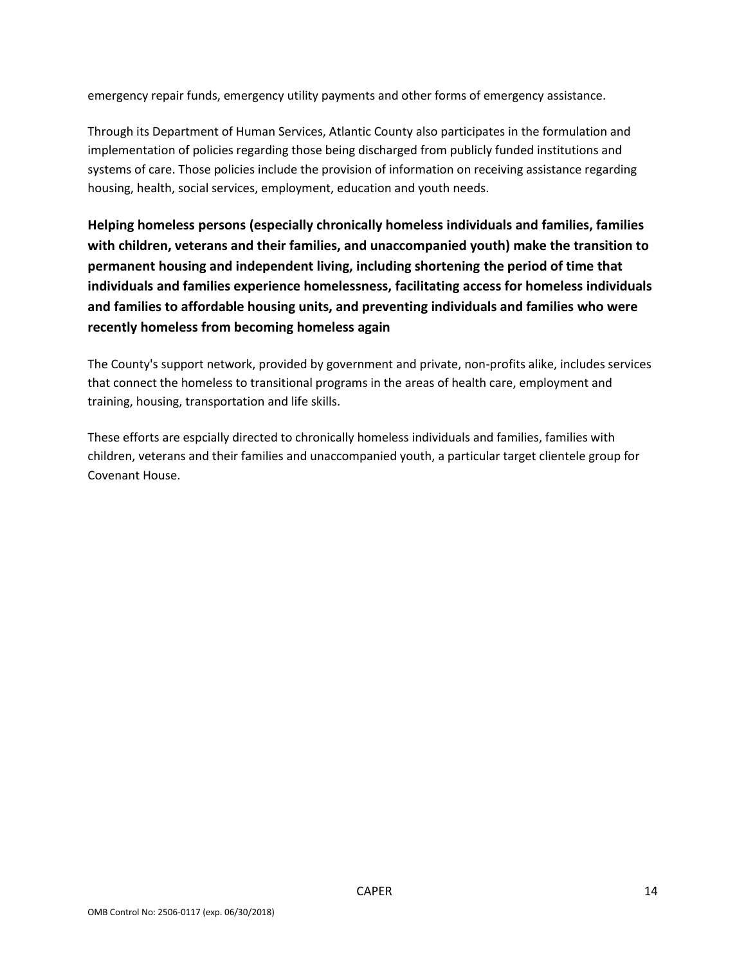emergency repair funds, emergency utility payments and other forms of emergency assistance.

Through its Department of Human Services, Atlantic County also participates in the formulation and implementation of policies regarding those being discharged from publicly funded institutions and systems of care. Those policies include the provision of information on receiving assistance regarding housing, health, social services, employment, education and youth needs.

**Helping homeless persons (especially chronically homeless individuals and families, families with children, veterans and their families, and unaccompanied youth) make the transition to permanent housing and independent living, including shortening the period of time that individuals and families experience homelessness, facilitating access for homeless individuals and families to affordable housing units, and preventing individuals and families who were recently homeless from becoming homeless again**

The County's support network, provided by government and private, non-profits alike, includes services that connect the homeless to transitional programs in the areas of health care, employment and training, housing, transportation and life skills.

These efforts are espcially directed to chronically homeless individuals and families, families with children, veterans and their families and unaccompanied youth, a particular target clientele group for Covenant House.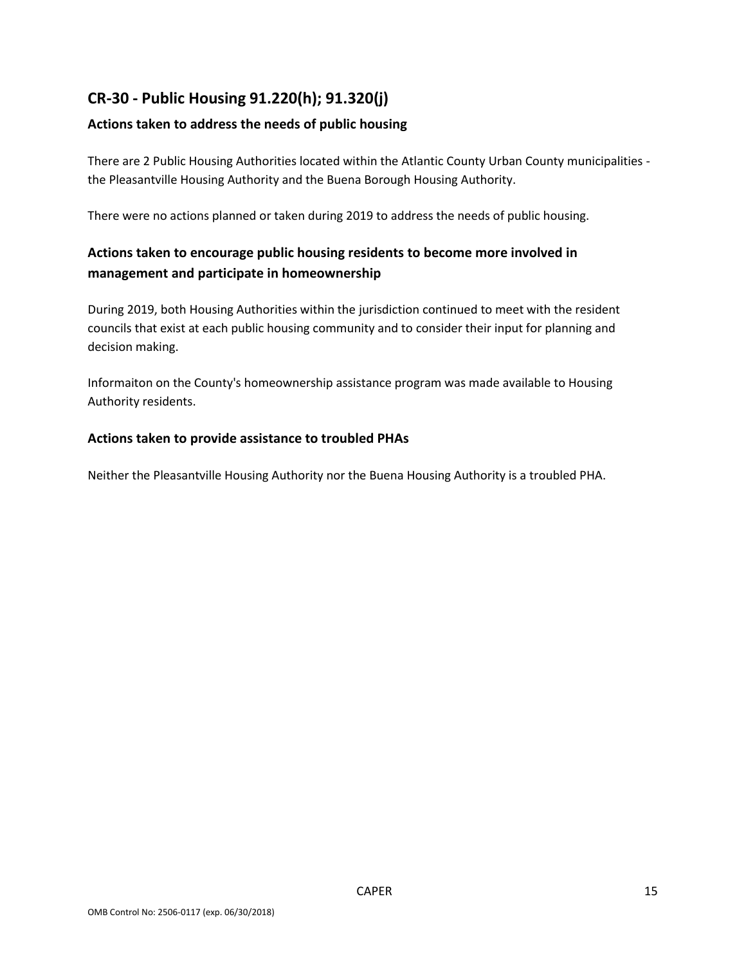# **CR-30 - Public Housing 91.220(h); 91.320(j)**

## **Actions taken to address the needs of public housing**

There are 2 Public Housing Authorities located within the Atlantic County Urban County municipalities the Pleasantville Housing Authority and the Buena Borough Housing Authority.

There were no actions planned or taken during 2019 to address the needs of public housing.

# **Actions taken to encourage public housing residents to become more involved in management and participate in homeownership**

During 2019, both Housing Authorities within the jurisdiction continued to meet with the resident councils that exist at each public housing community and to consider their input for planning and decision making.

Informaiton on the County's homeownership assistance program was made available to Housing Authority residents.

## **Actions taken to provide assistance to troubled PHAs**

Neither the Pleasantville Housing Authority nor the Buena Housing Authority is a troubled PHA.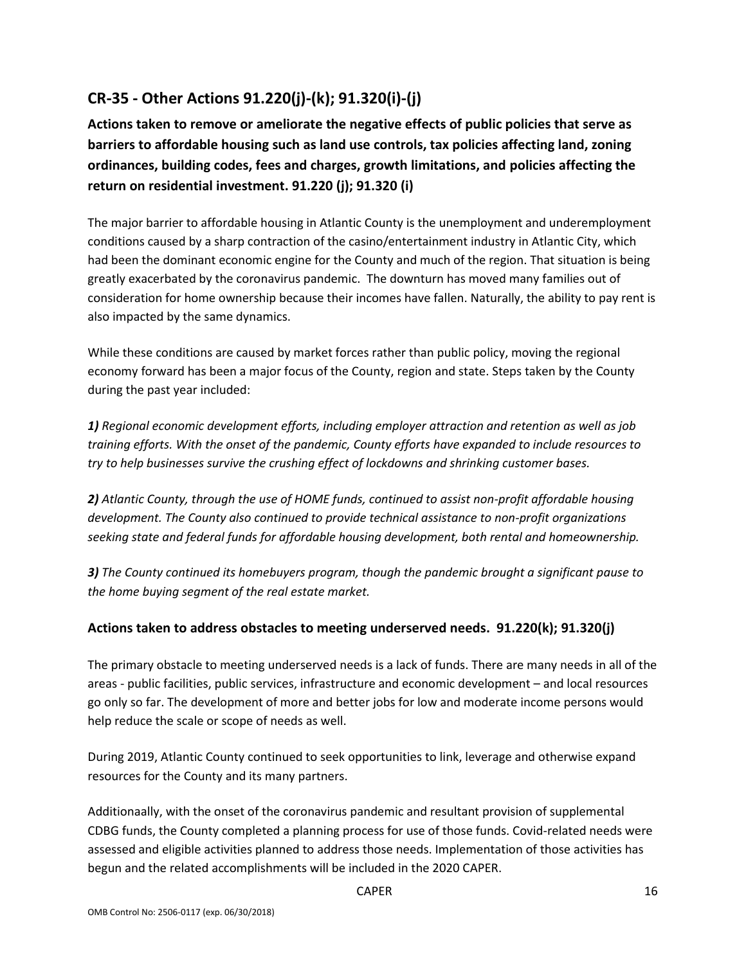# **CR-35 - Other Actions 91.220(j)-(k); 91.320(i)-(j)**

**Actions taken to remove or ameliorate the negative effects of public policies that serve as barriers to affordable housing such as land use controls, tax policies affecting land, zoning ordinances, building codes, fees and charges, growth limitations, and policies affecting the return on residential investment. 91.220 (j); 91.320 (i)**

The major barrier to affordable housing in Atlantic County is the unemployment and underemployment conditions caused by a sharp contraction of the casino/entertainment industry in Atlantic City, which had been the dominant economic engine for the County and much of the region. That situation is being greatly exacerbated by the coronavirus pandemic. The downturn has moved many families out of consideration for home ownership because their incomes have fallen. Naturally, the ability to pay rent is also impacted by the same dynamics.

While these conditions are caused by market forces rather than public policy, moving the regional economy forward has been a major focus of the County, region and state. Steps taken by the County during the past year included:

*1) Regional economic development efforts, including employer attraction and retention as well as job training efforts. With the onset of the pandemic, County efforts have expanded to include resources to try to help businesses survive the crushing effect of lockdowns and shrinking customer bases.*

*2) Atlantic County, through the use of HOME funds, continued to assist non-profit affordable housing development. The County also continued to provide technical assistance to non-profit organizations seeking state and federal funds for affordable housing development, both rental and homeownership.*

*3) The County continued its homebuyers program, though the pandemic brought a significant pause to the home buying segment of the real estate market.*

## **Actions taken to address obstacles to meeting underserved needs. 91.220(k); 91.320(j)**

The primary obstacle to meeting underserved needs is a lack of funds. There are many needs in all of the areas - public facilities, public services, infrastructure and economic development – and local resources go only so far. The development of more and better jobs for low and moderate income persons would help reduce the scale or scope of needs as well.

During 2019, Atlantic County continued to seek opportunities to link, leverage and otherwise expand resources for the County and its many partners.

Additionaally, with the onset of the coronavirus pandemic and resultant provision of supplemental CDBG funds, the County completed a planning process for use of those funds. Covid-related needs were assessed and eligible activities planned to address those needs. Implementation of those activities has begun and the related accomplishments will be included in the 2020 CAPER.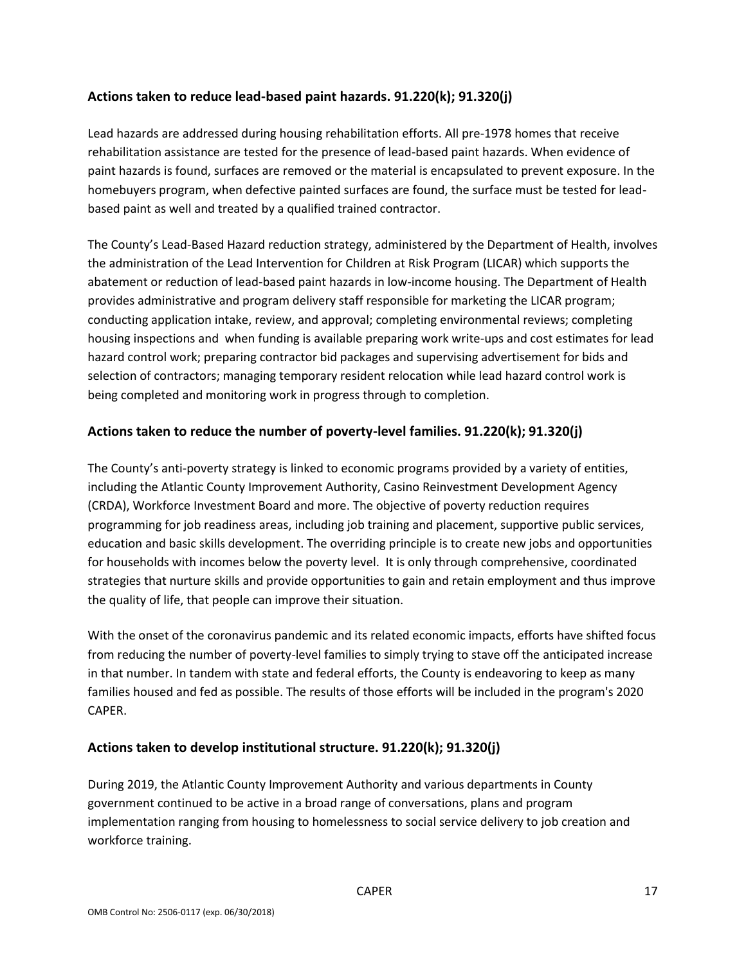## **Actions taken to reduce lead-based paint hazards. 91.220(k); 91.320(j)**

Lead hazards are addressed during housing rehabilitation efforts. All pre-1978 homes that receive rehabilitation assistance are tested for the presence of lead-based paint hazards. When evidence of paint hazards is found, surfaces are removed or the material is encapsulated to prevent exposure. In the homebuyers program, when defective painted surfaces are found, the surface must be tested for leadbased paint as well and treated by a qualified trained contractor.

The County's Lead-Based Hazard reduction strategy, administered by the Department of Health, involves the administration of the Lead Intervention for Children at Risk Program (LICAR) which supports the abatement or reduction of lead-based paint hazards in low-income housing. The Department of Health provides administrative and program delivery staff responsible for marketing the LICAR program; conducting application intake, review, and approval; completing environmental reviews; completing housing inspections and when funding is available preparing work write-ups and cost estimates for lead hazard control work; preparing contractor bid packages and supervising advertisement for bids and selection of contractors; managing temporary resident relocation while lead hazard control work is being completed and monitoring work in progress through to completion.

## **Actions taken to reduce the number of poverty-level families. 91.220(k); 91.320(j)**

The County's anti-poverty strategy is linked to economic programs provided by a variety of entities, including the Atlantic County Improvement Authority, Casino Reinvestment Development Agency (CRDA), Workforce Investment Board and more. The objective of poverty reduction requires programming for job readiness areas, including job training and placement, supportive public services, education and basic skills development. The overriding principle is to create new jobs and opportunities for households with incomes below the poverty level. It is only through comprehensive, coordinated strategies that nurture skills and provide opportunities to gain and retain employment and thus improve the quality of life, that people can improve their situation.

With the onset of the coronavirus pandemic and its related economic impacts, efforts have shifted focus from reducing the number of poverty-level families to simply trying to stave off the anticipated increase in that number. In tandem with state and federal efforts, the County is endeavoring to keep as many families housed and fed as possible. The results of those efforts will be included in the program's 2020 CAPER.

## **Actions taken to develop institutional structure. 91.220(k); 91.320(j)**

During 2019, the Atlantic County Improvement Authority and various departments in County government continued to be active in a broad range of conversations, plans and program implementation ranging from housing to homelessness to social service delivery to job creation and workforce training.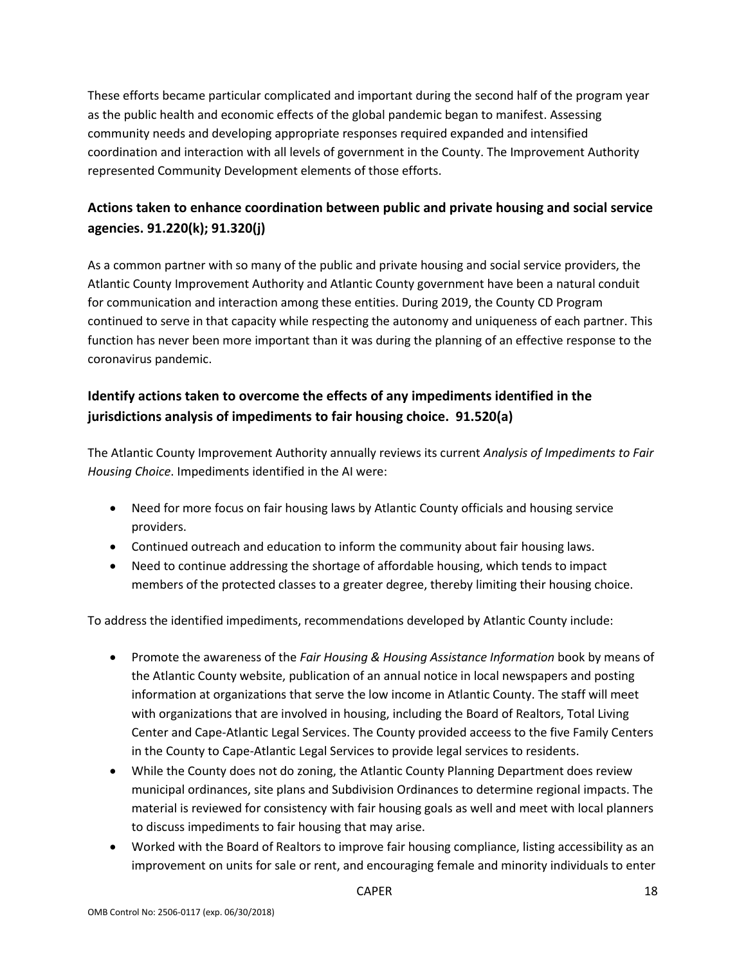These efforts became particular complicated and important during the second half of the program year as the public health and economic effects of the global pandemic began to manifest. Assessing community needs and developing appropriate responses required expanded and intensified coordination and interaction with all levels of government in the County. The Improvement Authority represented Community Development elements of those efforts.

# **Actions taken to enhance coordination between public and private housing and social service agencies. 91.220(k); 91.320(j)**

As a common partner with so many of the public and private housing and social service providers, the Atlantic County Improvement Authority and Atlantic County government have been a natural conduit for communication and interaction among these entities. During 2019, the County CD Program continued to serve in that capacity while respecting the autonomy and uniqueness of each partner. This function has never been more important than it was during the planning of an effective response to the coronavirus pandemic.

# **Identify actions taken to overcome the effects of any impediments identified in the jurisdictions analysis of impediments to fair housing choice. 91.520(a)**

The Atlantic County Improvement Authority annually reviews its current *Analysis of Impediments to Fair Housing Choice*. Impediments identified in the AI were:

- Need for more focus on fair housing laws by Atlantic County officials and housing service providers.
- Continued outreach and education to inform the community about fair housing laws.
- Need to continue addressing the shortage of affordable housing, which tends to impact members of the protected classes to a greater degree, thereby limiting their housing choice.

To address the identified impediments, recommendations developed by Atlantic County include:

- Promote the awareness of the *Fair Housing & Housing Assistance Information* book by means of the Atlantic County website, publication of an annual notice in local newspapers and posting information at organizations that serve the low income in Atlantic County. The staff will meet with organizations that are involved in housing, including the Board of Realtors, Total Living Center and Cape-Atlantic Legal Services. The County provided acceess to the five Family Centers in the County to Cape-Atlantic Legal Services to provide legal services to residents.
- While the County does not do zoning, the Atlantic County Planning Department does review municipal ordinances, site plans and Subdivision Ordinances to determine regional impacts. The material is reviewed for consistency with fair housing goals as well and meet with local planners to discuss impediments to fair housing that may arise.
- Worked with the Board of Realtors to improve fair housing compliance, listing accessibility as an improvement on units for sale or rent, and encouraging female and minority individuals to enter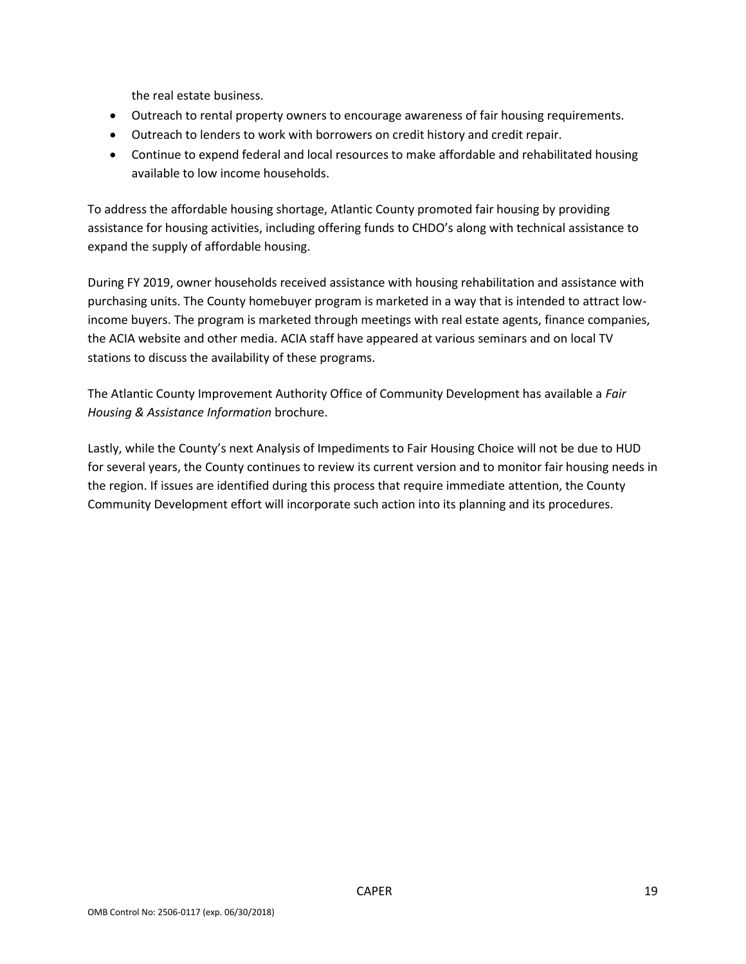the real estate business.

- Outreach to rental property owners to encourage awareness of fair housing requirements.
- Outreach to lenders to work with borrowers on credit history and credit repair.
- Continue to expend federal and local resources to make affordable and rehabilitated housing available to low income households.

To address the affordable housing shortage, Atlantic County promoted fair housing by providing assistance for housing activities, including offering funds to CHDO's along with technical assistance to expand the supply of affordable housing.

During FY 2019, owner households received assistance with housing rehabilitation and assistance with purchasing units. The County homebuyer program is marketed in a way that is intended to attract lowincome buyers. The program is marketed through meetings with real estate agents, finance companies, the ACIA website and other media. ACIA staff have appeared at various seminars and on local TV stations to discuss the availability of these programs.

The Atlantic County Improvement Authority Office of Community Development has available a *Fair Housing & Assistance Information* brochure.

Lastly, while the County's next Analysis of Impediments to Fair Housing Choice will not be due to HUD for several years, the County continues to review its current version and to monitor fair housing needs in the region. If issues are identified during this process that require immediate attention, the County Community Development effort will incorporate such action into its planning and its procedures.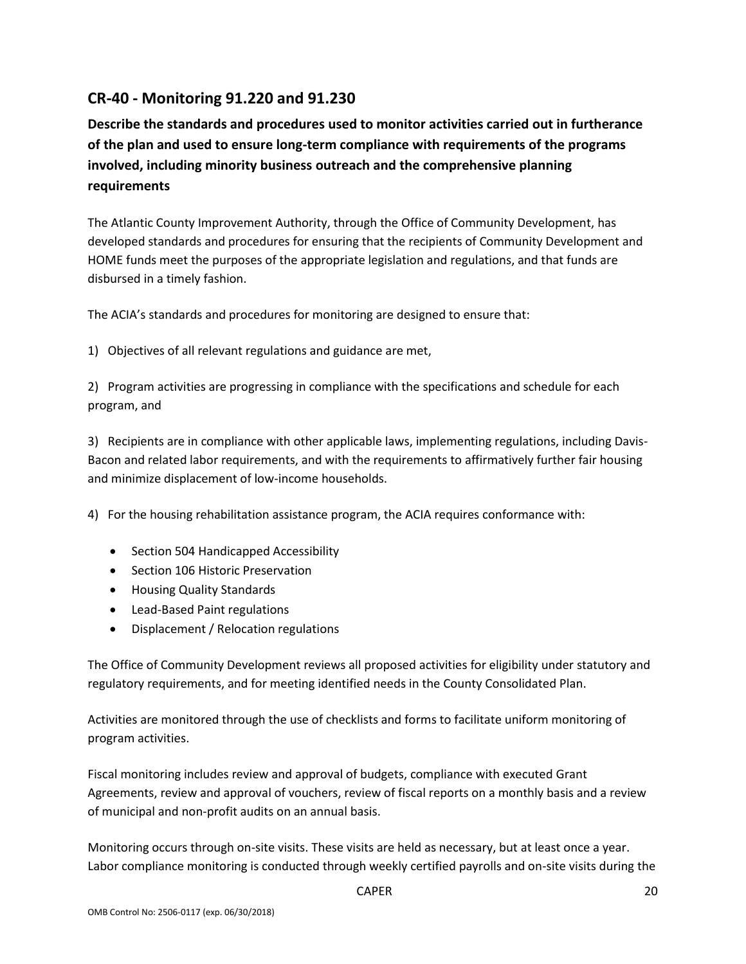# **CR-40 - Monitoring 91.220 and 91.230**

**Describe the standards and procedures used to monitor activities carried out in furtherance of the plan and used to ensure long-term compliance with requirements of the programs involved, including minority business outreach and the comprehensive planning requirements**

The Atlantic County Improvement Authority, through the Office of Community Development, has developed standards and procedures for ensuring that the recipients of Community Development and HOME funds meet the purposes of the appropriate legislation and regulations, and that funds are disbursed in a timely fashion.

The ACIA's standards and procedures for monitoring are designed to ensure that:

1) Objectives of all relevant regulations and guidance are met,

2) Program activities are progressing in compliance with the specifications and schedule for each program, and

3) Recipients are in compliance with other applicable laws, implementing regulations, including Davis-Bacon and related labor requirements, and with the requirements to affirmatively further fair housing and minimize displacement of low-income households.

4) For the housing rehabilitation assistance program, the ACIA requires conformance with:

- Section 504 Handicapped Accessibility
- Section 106 Historic Preservation
- Housing Quality Standards
- Lead-Based Paint regulations
- Displacement / Relocation regulations

The Office of Community Development reviews all proposed activities for eligibility under statutory and regulatory requirements, and for meeting identified needs in the County Consolidated Plan.

Activities are monitored through the use of checklists and forms to facilitate uniform monitoring of program activities.

Fiscal monitoring includes review and approval of budgets, compliance with executed Grant Agreements, review and approval of vouchers, review of fiscal reports on a monthly basis and a review of municipal and non-profit audits on an annual basis.

Monitoring occurs through on-site visits. These visits are held as necessary, but at least once a year. Labor compliance monitoring is conducted through weekly certified payrolls and on-site visits during the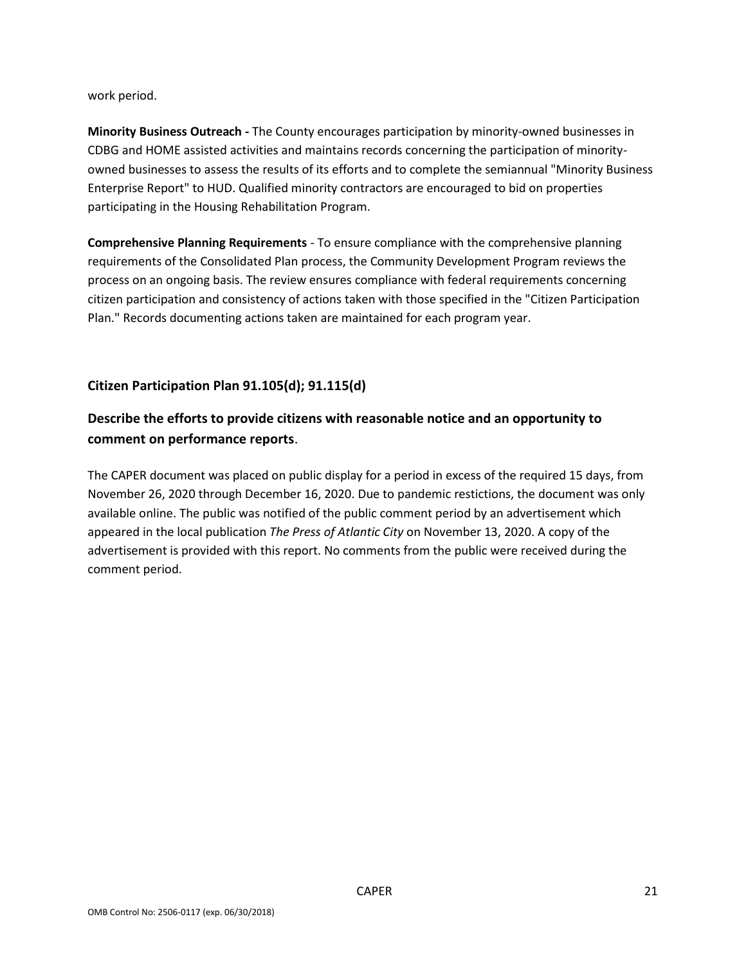work period.

**Minority Business Outreach -** The County encourages participation by minority-owned businesses in CDBG and HOME assisted activities and maintains records concerning the participation of minorityowned businesses to assess the results of its efforts and to complete the semiannual "Minority Business Enterprise Report" to HUD. Qualified minority contractors are encouraged to bid on properties participating in the Housing Rehabilitation Program.

**Comprehensive Planning Requirements** - To ensure compliance with the comprehensive planning requirements of the Consolidated Plan process, the Community Development Program reviews the process on an ongoing basis. The review ensures compliance with federal requirements concerning citizen participation and consistency of actions taken with those specified in the "Citizen Participation Plan." Records documenting actions taken are maintained for each program year.

## **Citizen Participation Plan 91.105(d); 91.115(d)**

# **Describe the efforts to provide citizens with reasonable notice and an opportunity to comment on performance reports**.

The CAPER document was placed on public display for a period in excess of the required 15 days, from November 26, 2020 through December 16, 2020. Due to pandemic restictions, the document was only available online. The public was notified of the public comment period by an advertisement which appeared in the local publication *The Press of Atlantic City* on November 13, 2020. A copy of the advertisement is provided with this report. No comments from the public were received during the comment period.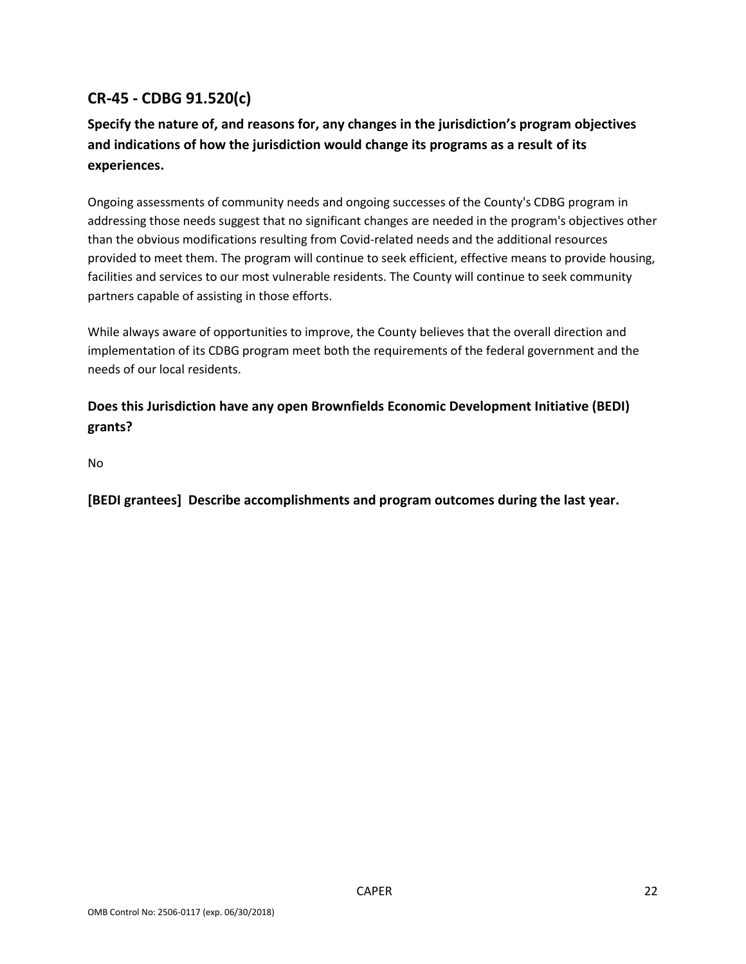# **CR-45 - CDBG 91.520(c)**

# **Specify the nature of, and reasons for, any changes in the jurisdiction's program objectives and indications of how the jurisdiction would change its programs as a result of its experiences.**

Ongoing assessments of community needs and ongoing successes of the County's CDBG program in addressing those needs suggest that no significant changes are needed in the program's objectives other than the obvious modifications resulting from Covid-related needs and the additional resources provided to meet them. The program will continue to seek efficient, effective means to provide housing, facilities and services to our most vulnerable residents. The County will continue to seek community partners capable of assisting in those efforts.

While always aware of opportunities to improve, the County believes that the overall direction and implementation of its CDBG program meet both the requirements of the federal government and the needs of our local residents.

# **Does this Jurisdiction have any open Brownfields Economic Development Initiative (BEDI) grants?**

No

**[BEDI grantees] Describe accomplishments and program outcomes during the last year.**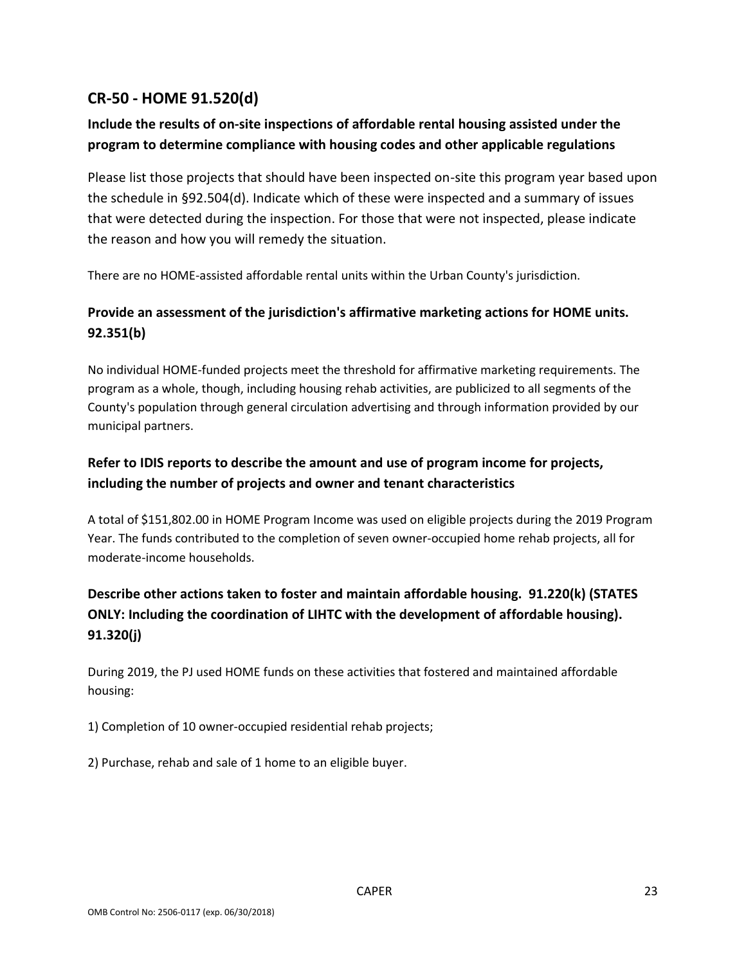# **CR-50 - HOME 91.520(d)**

# **Include the results of on-site inspections of affordable rental housing assisted under the program to determine compliance with housing codes and other applicable regulations**

Please list those projects that should have been inspected on-site this program year based upon the schedule in §92.504(d). Indicate which of these were inspected and a summary of issues that were detected during the inspection. For those that were not inspected, please indicate the reason and how you will remedy the situation.

There are no HOME-assisted affordable rental units within the Urban County's jurisdiction.

# **Provide an assessment of the jurisdiction's affirmative marketing actions for HOME units. 92.351(b)**

No individual HOME-funded projects meet the threshold for affirmative marketing requirements. The program as a whole, though, including housing rehab activities, are publicized to all segments of the County's population through general circulation advertising and through information provided by our municipal partners.

# **Refer to IDIS reports to describe the amount and use of program income for projects, including the number of projects and owner and tenant characteristics**

A total of \$151,802.00 in HOME Program Income was used on eligible projects during the 2019 Program Year. The funds contributed to the completion of seven owner-occupied home rehab projects, all for moderate-income households.

# **Describe other actions taken to foster and maintain affordable housing. 91.220(k) (STATES ONLY: Including the coordination of LIHTC with the development of affordable housing). 91.320(j)**

During 2019, the PJ used HOME funds on these activities that fostered and maintained affordable housing:

1) Completion of 10 owner-occupied residential rehab projects;

2) Purchase, rehab and sale of 1 home to an eligible buyer.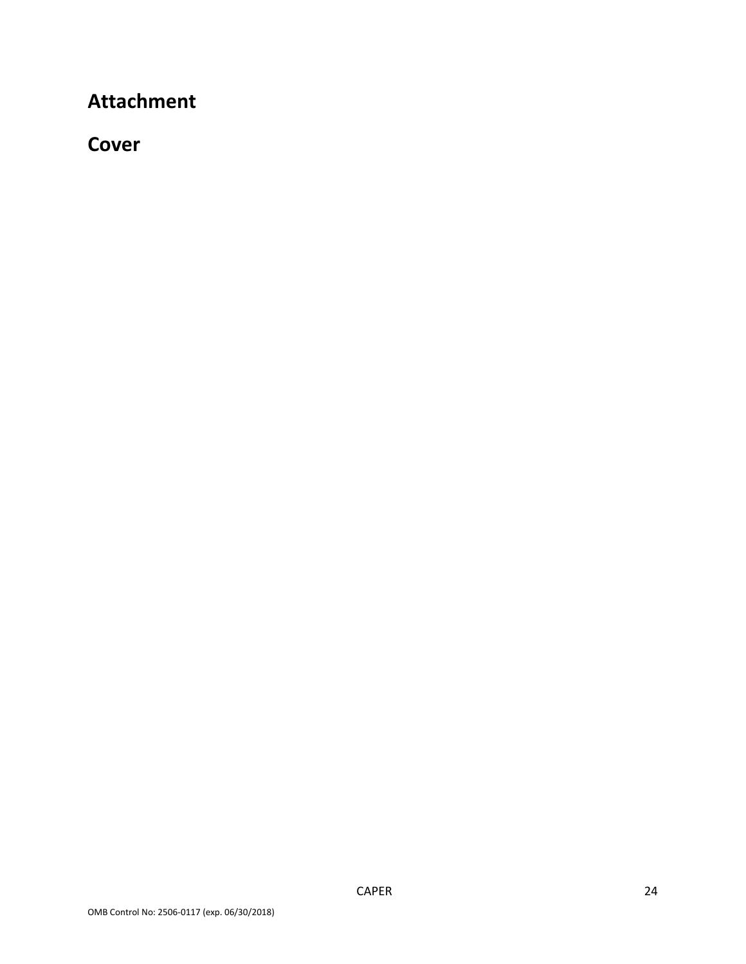# **Attachment**

# **Cover**